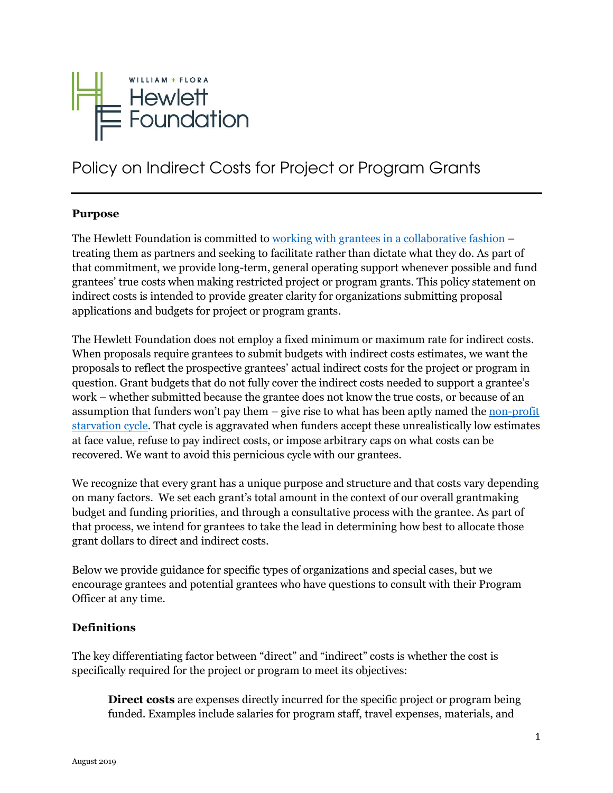

# Policy on Indirect Costs for Project or Program Grants

#### **Purpose**

The Hewlett Foundation is committed to working with [grantees in a collaborative fashion](https://hewlett.org/collaboration-and-partnership/) – treating them as partners and seeking to facilitate rather than dictate what they do. As part of that commitment, we provide long-term, general operating support whenever possible and fund grantees' true costs when making restricted project or program grants. This policy statement on indirect costs is intended to provide greater clarity for organizations submitting proposal applications and budgets for project or program grants.

The Hewlett Foundation does not employ a fixed minimum or maximum rate for indirect costs. When proposals require grantees to submit budgets with indirect costs estimates, we want the proposals to reflect the prospective grantees' actual indirect costs for the project or program in question. Grant budgets that do not fully cover the indirect costs needed to support a grantee's work – whether submitted because the grantee does not know the true costs, or because of an assumption that funders won't pay them  $-$  give rise to what has been aptly named the non-profit [starvation cycle.](http://www.ssireview.org/articles/entry/the_nonprofit_starvation_cycle/) That cycle is aggravated when funders accept these unrealistically low estimates at face value, refuse to pay indirect costs, or impose arbitrary caps on what costs can be recovered. We want to avoid this pernicious cycle with our grantees.

We recognize that every grant has a unique purpose and structure and that costs vary depending on many factors. We set each grant's total amount in the context of our overall grantmaking budget and funding priorities, and through a consultative process with the grantee. As part of that process, we intend for grantees to take the lead in determining how best to allocate those grant dollars to direct and indirect costs.

Below we provide guidance for specific types of organizations and special cases, but we encourage grantees and potential grantees who have questions to consult with their Program Officer at any time.

#### **Definitions**

The key differentiating factor between "direct" and "indirect" costs is whether the cost is specifically required for the project or program to meet its objectives:

**Direct costs** are expenses directly incurred for the specific project or program being funded. Examples include salaries for program staff, travel expenses, materials, and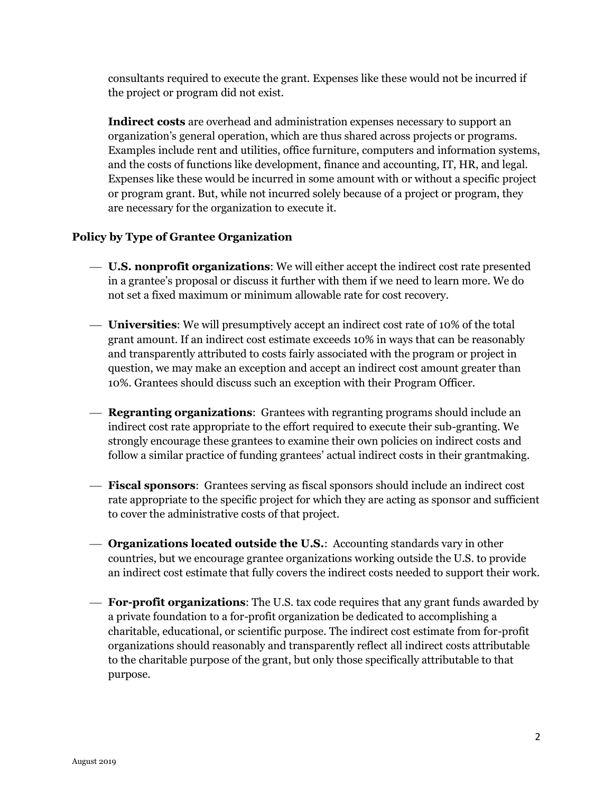consultants required to execute the grant. Expenses like these would not be incurred if the project or program did not exist.

**Indirect costs** are overhead and administration expenses necessary to support an organization's general operation, which are thus shared across projects or programs. Examples include rent and utilities, office furniture, computers and information systems, and the costs of functions like development, finance and accounting, IT, HR, and legal. Expenses like these would be incurred in some amount with or without a specific project or program grant. But, while not incurred solely because of a project or program, they are necessary for the organization to execute it.

#### **Policy by Type of Grantee Organization**

- ⎯ **U.S. nonprofit organizations**: We will either accept the indirect cost rate presented in a grantee's proposal or discuss it further with them if we need to learn more. We do not set a fixed maximum or minimum allowable rate for cost recovery.
- ⎯ **Universities**: We will presumptively accept an indirect cost rate of 10% of the total grant amount. If an indirect cost estimate exceeds 10% in ways that can be reasonably and transparently attributed to costs fairly associated with the program or project in question, we may make an exception and accept an indirect cost amount greater than 10%. Grantees should discuss such an exception with their Program Officer.
- ⎯ **Regranting organizations**: Grantees with regranting programs should include an indirect cost rate appropriate to the effort required to execute their sub-granting. We strongly encourage these grantees to examine their own policies on indirect costs and follow a similar practice of funding grantees' actual indirect costs in their grantmaking.
- ⎯ **Fiscal sponsors**: Grantees serving as fiscal sponsors should include an indirect cost rate appropriate to the specific project for which they are acting as sponsor and sufficient to cover the administrative costs of that project.
- ⎯ **Organizations located outside the U.S.**: Accounting standards vary in other countries, but we encourage grantee organizations working outside the U.S. to provide an indirect cost estimate that fully covers the indirect costs needed to support their work.
- ⎯ **For-profit organizations**: The U.S. tax code requires that any grant funds awarded by a private foundation to a for-profit organization be dedicated to accomplishing a charitable, educational, or scientific purpose. The indirect cost estimate from for-profit organizations should reasonably and transparently reflect all indirect costs attributable to the charitable purpose of the grant, but only those specifically attributable to that purpose.